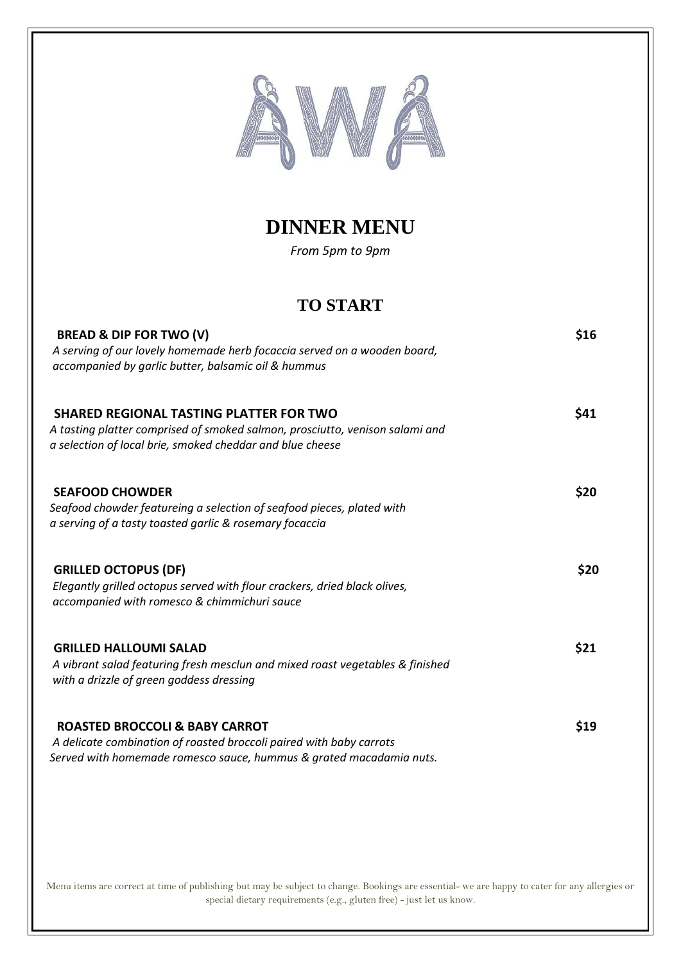

## **DINNER MENU**

*From 5pm to 9pm*

### **TO START**

| <b>BREAD &amp; DIP FOR TWO (V)</b><br>A serving of our lovely homemade herb focaccia served on a wooden board,<br>accompanied by garlic butter, balsamic oil & hummus                       | \$16 |
|---------------------------------------------------------------------------------------------------------------------------------------------------------------------------------------------|------|
| <b>SHARED REGIONAL TASTING PLATTER FOR TWO</b><br>A tasting platter comprised of smoked salmon, prosciutto, venison salami and<br>a selection of local brie, smoked cheddar and blue cheese | \$41 |
| <b>SEAFOOD CHOWDER</b><br>Seafood chowder featureing a selection of seafood pieces, plated with<br>a serving of a tasty toasted garlic & rosemary focaccia                                  | \$20 |
| <b>GRILLED OCTOPUS (DF)</b><br>Elegantly grilled octopus served with flour crackers, dried black olives,<br>accompanied with romesco & chimmichuri sauce                                    | \$20 |
| <b>GRILLED HALLOUMI SALAD</b><br>A vibrant salad featuring fresh mesclun and mixed roast vegetables & finished<br>with a drizzle of green goddess dressing                                  | \$21 |
| <b>ROASTED BROCCOLI &amp; BABY CARROT</b><br>A delicate combination of roasted broccoli paired with baby carrots<br>Served with homemade romesco sauce, hummus & grated macadamia nuts.     | \$19 |

Menu items are correct at time of publishing but may be subject to change. Bookings are essential- we are happy to cater for any allergies or special dietary requirements (e.g., gluten free) - just let us know.